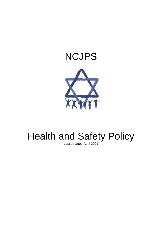# NCJPS



# Health and Safety Policy

Last updated April 2021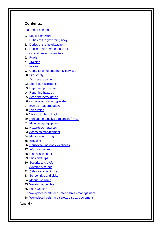## **Contents:**

## [Statement of intent](#page-2-0)

- 1. [Legal framework](#page-3-0)
- 2. [Duties of the governing body](#page-4-0)
- 3. [Duties of the headteacher](#page-4-1)
- 4. [Duties of all members of staff](#page-5-0)
- 5. [Obligations of contractors](#page-5-1)
- 6. [Pupils](#page-6-0)
- 7. [Training](#page-6-1)
- 8. [First-aid](#page-6-2)
- 9. [Contacting the emergency services](#page-8-0)
- 10. [Fire safety](#page-8-1)
- 11. [Accident reporting](#page-9-0)
- 12. [Significant accidents](#page-9-1)
- 13. [Reporting procedure](#page-11-0)
- 14. [Reporting hazards](#page-11-1)
- 15. [Accident investigation](#page-11-2)
- 16. [Our active monitoring system](#page-11-3)
- 17. [Bomb threat procedure](#page-12-0)
- 18. [Evacuation](#page-13-0)
- 19. [Visitors to the school](#page-13-1)
- 20. [Personal protective equipment \(PPE\)](#page-14-0)
- 21. [Maintaining equipment](#page-15-0)
- 22. [Hazardous materials](#page-15-1)
- 23. [Asbestos management](#page-16-0)
- 24. [Medicine and drugs](#page-16-1)
- 25. [Smoking](#page-16-2)
- 26. [Housekeeping and cleanliness](#page-16-3)
- 27. [Infection control](#page-16-4)
- 28. [Risk assessment](#page-18-0)
- 29. [Slips and trips](#page-18-1)
- 30. [Security and theft](#page-18-2)
- 31. [Adverse](#page-19-0) weather
- 32. [Safe use of minibuses](#page-19-1)
- 33. [School trips and visits](#page-19-2)
- 34. [Manual handling](#page-19-3)
- 35. [Working at heights](#page-19-4)
- 36. [Lone working](#page-20-0)
- 37. [Workplace health and safety: stress management](#page-20-1)
- 38. [Workplace health and safety: display equipment](#page-20-2)

Appendix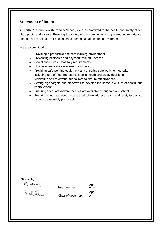# <span id="page-2-0"></span>**Statement of intent**

At North Cheshire Jewish Primary School, we are committed to the health and safety of our staff, pupils and visitors. Ensuring the safety of our community is of paramount importance, and this policy reflects our dedication to creating a safe learning environment.

We are committed to:

- Providing a productive and safe learning environment.
- Preventing accidents and any work-related illnesses.
- Compliance with all statutory requirements.
- Minimising risks via assessment and policy.
- Providing safe working equipment and ensuring safe working methods.
- Including all staff and representatives in health and safety decisions.
- Monitoring and reviewing our policies to ensure effectiveness.
- Setting high targets and objectives to develop the school's culture of continuous improvement.
- Ensuring adequate welfare facilities are available throughout our school.
- Ensuring adequate resources are available to address health and safety issues, so far as is reasonably practicable.

Signed by:

M. Wood

Headteacher

Chair of governors

2021 April 2021

April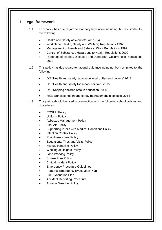# <span id="page-3-0"></span>**1. Legal framework**

- 1.1. This policy has due regard to statutory legislation including, but not limited to, the following:
	- Health and Safety at Work etc. Act 1974
	- Workplace (Health, Safety and Welfare) Regulations 1992
	- Management of Health and Safety at Work Regulations 1999
	- Control of Substances Hazardous to Health Regulations 2002
	- Reporting of Injuries, Diseases and Dangerous Occurrences Regulations 2013
- 1.2. This policy has due regard to national guidance including, but not limited to, the following:
	- DfE 'Health and safety: advice on legal duties and powers' 2018
	- DfE 'Health and safety for school children' 2015
	- DfE 'Keeping children safe in education' 2020
	- HSE 'Sensible health and safety management in schools' 2014
- 1.3. This policy should be used in conjunction with the following school policies and procedures:
	- COSHH Policy
	- Uniform Policy
	- Asbestos Management Policy
	- **First Aid Policy**
	- Supporting Pupils with Medical Conditions Policy
	- **Infection Control Policy**
	- Risk Assessment Policy
	- Educational Trips and Visits Policy
	- Manual Handling Policy
	- Working at Heights Policy
	- Lone Working Policy
	- Smoke Free Policy
	- Critical Incident Policy
	- **Emergency Procedure Guidelines**
	- Personal Emergency Evacuation Plan
	- Fire Evacuation Plan
	- Accident Reporting Procedure
	- Adverse Weather Policy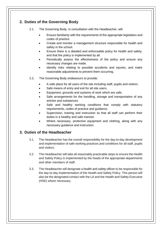# <span id="page-4-0"></span>**2. Duties of the Governing Body**

- 2.1. The Governing Body, in consultation with the Headteacher, will:
	- Ensure familiarity with the requirements of the appropriate legislation and codes of practice.
	- Create and monitor a management structure responsible for health and safety in the school.
	- Ensure there is a detailed and enforceable policy for health and safety, and that the policy is implemented by all.
	- Periodically assess the effectiveness of the policy and ensure any necessary changes are made.
	- Identify risks relating to possible accidents and injuries, and make reasonable adjustments to prevent them occurring.
- 2.2. The Governing Body endeavours to provide:
	- A safe place for all users of the site including staff, pupils and visitors.
	- Safe means of entry and exit for all site users.
	- Equipment, grounds and systems of work which are safe.
	- Safe arrangements for the handling, storage and transportation of any articles and substances.
	- Safe and healthy working conditions that comply with statutory requirements, codes of practice and guidance.
	- Supervision, training and instruction so that all staff can perform their duties in a healthy and safe manner.
	- Where necessary, protective equipment and clothing, along with any necessary guidance and instruction.

# <span id="page-4-1"></span>**3. Duties of the Headteacher**

- 3.1. The Headteacher has the overall responsibility for the day-to-day development and implementation of safe working practices and conditions for all staff, pupils and visitors.
- 3.2. The Headteacher will take all reasonably practicable steps to ensure the Health and Safety Policy is implemented by the heads of the appropriate departments and other members of staff.
- 3.3. The Headteacher will designate a health and safety officer to be responsible for the day-to-day implementation of the Health and Safety Policy. This person will also be the designated contact with the LA and the Health and Safety Executive (HSE) where necessary.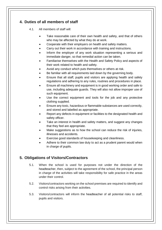# <span id="page-5-0"></span>**4. Duties of all members of staff**

4.1. All members of staff will:

- Take reasonable care of their own health and safety, and that of others who may be affected by what they do at work.
- Cooperate with their employers on health and safety matters.
- Carry out their work in accordance with training and instructions.
- Inform the employer of any work situation representing a serious and immediate danger, so that remedial action can be taken.
- Familiarise themselves with the Health and Safety Policy and aspects of their work related to health and safety.
- Avoid any conduct which puts themselves or others at risk.
- Be familiar with all requirements laid down by the governing body.
- Ensure that all staff, pupils and visitors are applying health and safety regulations and adhering to any rules, routines and procedures in place.
- Ensure all machinery and equipment is in good working order and safe to use, including adequate guards. They will also not allow improper use of such equipment.
- Use the correct equipment and tools for the job and any protective clothing supplied.
- Ensure any toxic, hazardous or flammable substances are used correctly, and stored and labelled as appropriate.
- Report any defects in equipment or facilities to the designated health and safety officer.
- Take an interest in health and safety matters, and suggest any changes that they feel are appropriate.
- Make suggestions as to how the school can reduce the risk of injuries, illnesses and accidents.
- Exercise good standards of housekeeping and cleanliness.
- Adhere to their common law duty to act as a prudent parent would when in charge of pupils.

# <span id="page-5-1"></span>**5. Obligations of Visitors/Contractors**

- 5.1. When the school is used for purposes not under the direction of the headteacher, then, subject to the agreement of the school, the principal person in charge of the activities will take responsibility for safe practice in the areas under their control.
- 5.2. Visitors/contractors working on the school premises are required to identify and control risks arising from their activities.
- 5.3. Visitors/contractors will inform the headteacher of all potential risks to staff, pupils and visitors.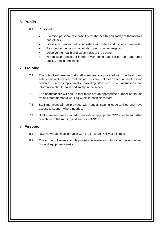# <span id="page-6-0"></span>**6. Pupils**

6.1. Pupils will:

- Exercise personal responsibility for the health and safety of themselves and others.
- Dress in a manner that is consistent with safety and hygiene standards.
- Respond to the instruction of staff given in an emergency.
- Observe the health and safety rules of the school.
- Not misuse, neglect or interfere with items supplied for their, and other pupils', health and safety.

# <span id="page-6-1"></span>**7. Training**

- 7.1. The school will ensure that staff members are provided with the health and safety training they need for their job. This may not mean attendance at training courses; it may simply involve providing staff with basic instructions and information about health and safety in the school.
- 7.2. The headteacher will ensure that there are an appropriate number of first-aid trained staff members working within in each classroom.
- 7.3. Staff members will be provided with regular training opportunities and have access to support where needed.
- 7.4. Staff members are expected to undertake appropriate CPD in order to further contribute to the running and success of NCJPS.

# <span id="page-6-2"></span>8. **First-aid**

- 8.1. NCJPS will act in accordance with the First Aid Policy at all times.
- 8.2. The school will ensure ample provision is made for both trained personnel and first-aid equipment on-site.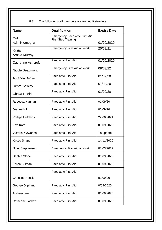8.3. The following staff members are trained first-aiders:

| <b>Name</b>               | Qualification                                                       | <b>Expiry Date</b> |
|---------------------------|---------------------------------------------------------------------|--------------------|
| Orit<br>Adiri Niemogha    | <b>Emergency Paediatric First Aid</b><br><b>First Step Training</b> | 01/09/2020         |
| Kyzia<br>Arnold-Murray    | <b>Emergency First Aid at Work</b>                                  | 25/09/21           |
| <b>Catherine Ashcroft</b> | <b>Paediatric First Aid</b>                                         | 01/09/2020         |
| <b>Nicole Beaumont</b>    | <b>Emergency First Aid at Work</b>                                  | 08/03/22           |
| Amanda Becker             | <b>Paediatric First Aid</b>                                         | 01/09/20           |
| Debra Bewley              | <b>Paediatric First Aid</b>                                         | 01/09/20           |
| Chava Chein               | <b>Paediatric First Aid</b>                                         | 01/09/20           |
| Rebecca Hannan            | <b>Paediatric First Aid</b>                                         | 01/09/20           |
| Joanne Hill               | <b>Paediatric First Aid</b>                                         | 01/09/20           |
| Phillipa Hutchins         | <b>Paediatric First Aid</b>                                         | 22/06/2021         |
| Zevi Katz                 | <b>Paediatric First Aid</b>                                         | 01/09/2020         |
| Victoria Kyrwonos         | <b>Paediatric First Aid</b>                                         | To update          |
| <b>Kirstie Snape</b>      | <b>Paediatric First Aid</b>                                         | 14/11/2020         |
| Ninet Stephenson          | <b>Emergency First Aid at Work</b>                                  | 08/03/2022         |
| Debbie Stone              | <b>Paediatric First Aid</b>                                         | 01/09/2020         |
| Karen Sulman              | <b>Paediatric First Aid</b>                                         | 01/09/2020         |
|                           | <b>Paediatric First Aid</b>                                         |                    |
| <b>Christine Hession</b>  |                                                                     | 01/09/20           |
| George Oliphant           | <b>Paediatric First Aid</b>                                         | 0/09/2020          |
| <b>Andrew Lee</b>         | <b>Paediatric First Aid</b>                                         | 01/09/2020         |
| <b>Catherine Lockett</b>  | <b>Paediatric First Aid</b>                                         | 01/09/2020         |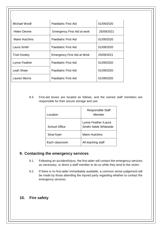| Michael Woolf         | Paediatric First Aid               | 01/09/2020 |
|-----------------------|------------------------------------|------------|
| <b>Helen Devine</b>   | <b>Emergency First Aid at work</b> | 25/09/2021 |
| <b>Maire Hutchins</b> | Paediatric First Aid               | 01/09/2020 |
| Laura Smith           | Paediatric First Aid               | 01/09/2020 |
| <b>Trish Dooley</b>   | <b>Emergency First Aid at Work</b> | 25/09/2021 |
| Lynne Feather         | <b>Paediatric First Aid</b>        | 01/09/2020 |
| Leah Shaw             | Paediatric First Aid               | 01/09/2020 |
| Lauren Morris         | Paediatric First Aid               | 01/09/2020 |

8.4. First-aid boxes are located as follows, and the named staff members are responsible for their secure storage and use:

<span id="page-8-0"></span>

| Location.      | <b>Responsible Staff</b><br>Member              |
|----------------|-------------------------------------------------|
| School Office  | Lynne Feather / Laura<br>Smith/ Adele Whiteside |
| Sinai foyer    | <b>Maire Hutchins</b>                           |
| Each classroom | All teaching staff                              |

# **9. Contacting the emergency services**

- 9.1. Following an accident/injury, the first-aider will contact the emergency services as necessary, or direct a staff member to do so while they tend to the victim.
- 9.2. If there is no first-aider immediately available, a common sense judgement will be made by those attending the injured party regarding whether to contact the emergency services.

# <span id="page-8-1"></span>**10. Fire safety**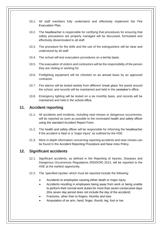- 10.1. All staff members fully understand and effectively implement the Fire Evacuation Plan.
- 10.2. The headteacher is responsible for certifying that procedures for ensuring that safety precautions are properly managed will be discussed, formulated and effectively disseminated to all staff.
- 10.3. The procedure for fire drills and the use of fire extinguishers will be clear and understood by all staff.
- 10.4. The school will test evacuation procedures on a termly basis.
- 10.5. The evacuation of visitors and contractors will be the responsibility of the person they are visiting or working for.
- 10.6. Firefighting equipment will be checked on an annual basis by an approved contractor.
- 10.7. Fire alarms will be tested weekly from different 'break glass' fire points around the school, and records will be maintained and held in the caretaker's office.
- 10.8. Emergency lighting will be tested on a six monthly basis, and records will be maintained and held in the school office.

# <span id="page-9-0"></span>**11. Accident reporting**

- 11.1. All accidents and incidents, including near-misses or dangerous occurrences, will be reported as soon as possible to the nominated health and safety officer using the standard Accident Report Form.
- 11.2. The health and safety officer will be responsible for informing the headteacher if the accident is fatal or a "major injury" as outlined by the HSE.
- 11.3. More in-depth information concerning reporting accidents and near-misses can be found in the Accident Reporting Procedure and Near-miss Policy.

# <span id="page-9-1"></span>**12. Significant accidents**

- 12.1. Significant accidents, as defined in the Reporting of Injuries, Diseases and Dangerous Occurrences Regulations (RIDDOR) 2013, will be reported to the HSE at the earliest opportunity.
- 12.2. The 'specified injuries' which must be reported include the following:
	- Accidents to employees causing either death or major injury
	- Accidents resulting in employees being away from work or being unable to perform their normal work duties for more than seven consecutive days (this seven day period does not include the day of the accident)
	- Fractures, other than to fingers, thumbs and toes
	- Amputation of an arm, hand, finger, thumb, leg, foot or toe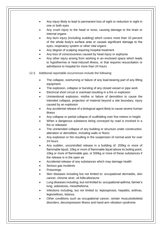- Any injury likely to lead to permanent loss of sight or reduction in sight in one or both eyes
- Any crush injury to the head or torso, causing damage to the brain or internal organs
- Any burn injury (including scalding) which covers more than 10 percent of the whole body's surface area or causes significant damage to the eyes, respiratory system or other vital organs
- Any degree of scalping requiring hospital treatment
- Any loss of consciousness caused by head injury or asphyxia
- Any other injury arising from working in an enclosed space which leads to hypothermia or heat-induced illness, or that requires resuscitation or admittance to hospital for more than 24 hours
- 12.3. Additional reportable occurrences include the following:
	- The collapse, overturning or failure of any load-bearing part of any lifting equipment
	- The explosion, collapse or bursting of any closed vessel or pipe work
	- Electrical short circuit or overload resulting in a fire or explosion
	- Unintentional explosion, misfire or failure of demolition to cause the intended collapse, projection of material beyond a site boundary, injury caused by an explosion
	- Any accidental release of a biological agent likely to cause severe human illness
	- Any collapse or partial collapse of scaffolding over five metres in height
	- When a dangerous substance being conveyed by road is involved in a fire or released
	- The unintended collapse of any building or structure under construction, alteration or demolition, including walls or floors
	- Any explosion or fire resulting in the suspension of normal work for over 24 hours
	- Any sudden, uncontrolled release in a building of: 200kg or more of flammable liquid, 10kg or more of flammable liquid above its boiling point, 10kg or more of flammable gas, or 500kg or more of these substances if the release is in the open air
	- Accidental release of any substances which may damage health
	- Serious gas incidents
	- **Poisonings**
	- Skin diseases including but not limited to: occupational dermatitis, skin cancer, chrome ulcer, oil folliculitis/acne
	- Lung diseases including, but not limited to: occupational asthma, farmer's lung, asbestosis, mesothelioma
	- Infections including, but not limited to: leptospirosis, hepatitis, anthrax, legionellosis, tetanus
	- Other conditions such as occupational cancer, certain musculoskeletal disorders, decompression illness and hand-arm vibration syndrome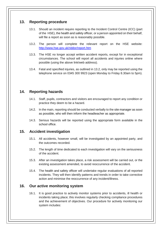# <span id="page-11-0"></span>**13. Reporting procedure**

- 13.1. Should an incident require reporting to the Incident Control Centre (ICC) (part of the HSE), the health and safety officer, or a person appointed on their behalf, will file a report as soon as is reasonably possible.
- 13.2. The person will complete the relevant report on the HSE website: <http://www.hse.gov.uk/riddor/report.htm>
- 13.3. The HSE no longer accept written accident reports, except for in exceptional circumstances. The school will report all accidents and injuries online where possible (using the above link/web address).
- 13.4. Fatal and specified injuries, as outlined in 13.2, only may be reported using the telephone service on 0345 300 9923 (open Monday to Friday 8.30am to 5pm).

# <span id="page-11-1"></span>**14. Reporting hazards**

- 14.1. Staff, pupils, contractors and visitors are encouraged to report any condition or practice they deem to be a hazard.
- 14.2. In the main, reporting should be conducted verbally to the site manager as soon as possible, who will then inform the headteacher as appropriate.
- 14.3. Serious hazards will be reported using the appropriate form available in the school office.

# <span id="page-11-2"></span>**15. Accident investigation**

- 15.1. All accidents, however small, will be investigated by an appointed party, and the outcomes recorded.
- 15.2. The length of time dedicated to each investigation will vary on the seriousness of the accident.
- 15.3. After an investigation takes place, a risk assessment will be carried out, or the existing assessment amended, to avoid reoccurrence of the accident.
- 15.4. The health and safety officer will undertake regular evaluations of all reported incidents. They will then identify patterns and trends in order to take corrective action and minimise the reoccurrence of any incident/illness.

# <span id="page-11-3"></span>**16. Our active monitoring system**

16.1. It is good practice to actively monitor systems prior to accidents, ill health or incidents taking place; this involves regularly checking compliance procedures and the achievement of objectives. Our procedure for actively monitoring our system includes: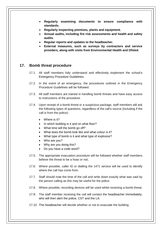- **Regularly examining documents to ensure compliance with standards.**
- **Regularly inspecting premises, plants and equipment.**
- **Annual audits, including fire risk assessments and health and safety audits.**
- **Regular reports and updates to the headteacher.**
- **External measures, such as surveys by contractors and service providers, along with visits from Environmental Health and Ofsted.**

# <span id="page-12-0"></span>**17. Bomb threat procedure**

- 17.1. All staff members fully understand and effectively implement the school's Emergency Procedure Guidelines.
- 17.2. In the event of an emergency, the procedures outlined in the Emergency Procedure Guidelines will be followed.
- 17.3. All staff members are trained in handling bomb threats and have easy access to instructions of the procedure.
- 17.4. Upon receipt of a bomb threat or a suspicious package, staff members will ask the following types of questions, regardless of the call's source (including if the call is from the police):
	- Where is it?
	- In which building is it and on what floor?
	- What time will the bomb go off?
	- What does the bomb look like and what colour is it?
	- What type of bomb is it and what type of explosive?
	- Who are you?
	- Why are you doing this?
	- Do you have a code word?
- 17.5. The appropriate evacuation procedure will be followed whether staff members believe the threat to be a hoax or not,
- 17.6. Where possible, caller ID or dialling the 1471 service will be used to identify where the call has come from.
- 17.7. Staff should note the time of the call and write down exactly what was said by the person calling as this may be useful for the police.
- 17.8. Where possible, recording devices will be used whilst receiving a bomb threat.
- 17.9. The staff member receiving the call will contact the headteacher immediately, who will then alert the police, CST and the LA.
- 17.10. The headteacher will decide whether or not to evacuate the building.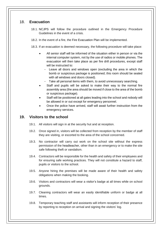# <span id="page-13-0"></span>18. **Evacuation**

- 18.1. NCJPS will follow the procedure outlined in the Emergency Procedure Guidelines in the event of a crisis.
- 18.2. In the event of a fire, the Fire Evacuation Plan will be implemented.
- 18.3. If an evacuation is deemed necessary, the following procedure will take place:
	- All senior staff will be informed of the situation either in person or via the internal computer system, not by the use of radios or mobile phones. The evacuation will then take place as per fire drill procedures, except staff will be instructed to:
		- Leave all doors and windows open (excluding the area in which the bomb or suspicious package is positioned; this room should be sealed with all windows and doors closed).
		- Take all personal items with them, to avoid unnecessary searching.
	- Staff and pupils will be asked to make their way to the normal fire assembly area (the area should be moved if close to the area of the bomb or suspicious package).
	- Staff will be positioned at all gates leading into the school and nobody will be allowed in or out except for emergency personnel.
	- Once the police have arrived, staff will await further instruction from the emergency services.

# <span id="page-13-1"></span>**19. Visitors to the school**

- 19.1. All visitors will sign in at the security hut and at reception.
- 19.2. Once signed in, visitors will be collected from reception by the member of staff they are visiting, or escorted to the area of the school concerned.
- 19.3. No contractor will carry out work on the school site without the express permission of the headteacher, other than in an emergency or to make the site safe following theft or vandalism.
- 19.4. Contractors will be responsible for the health and safety of their employees and for ensuring safe working practices. They will not constitute a hazard to staff, pupils or visitors to the school.
- 19.5. Anyone hiring the premises will be made aware of their health and safety obligations when making the booking.
- 19.6. Visitors and contractors will wear a visitor's badge at all times while on school grounds.
- 19.7. Cleaning contractors will wear an easily identifiable uniform or badge at all times.
- 19.8. Temporary teaching staff and assistants will inform reception of their presence by reporting to reception on arrival and signing the visitors' log.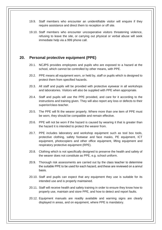- 19.9. Staff members who encounter an unidentifiable visitor will enquire if they require assistance and direct them to reception or off site.
- 19.10. Staff members who encounter uncooperative visitors threatening violence, refusing to leave the site, or carrying out physical or verbal abuse will seek immediate help via a 999 phone call.

## <span id="page-14-0"></span>**20. Personal protective equipment (PPE)**

- 20.1. NCJPS provides employees and pupils who are exposed to a hazard at the school, which cannot be controlled by other means, with PPE.
- 20.2. PPE means all equipment worn, or held by, staff or pupils which is designed to protect them from specified hazards.
- 20.3. All staff and pupils will be provided with protective eyewear in all workshops and laboratories. Visitors will also be supplied with PPE when appropriate.
- 20.4. Staff and pupils will use the PPE provided, and care for it according to the instructions and training given. They will also report any loss or defects to their superior/class teacher.
- 20.5. The PPE will fit the wearer properly. Where more than one item of PPE must be worn, they should be compatible and remain effective.
- 20.6. PPE will not be worn if the hazard is caused by wearing it that is greater than the hazard it is intended to protect the wearer from.
- 20.7. PPE includes laboratory and workshop equipment such as tool box tools, protective clothing, safety footwear and face masks, PE equipment, ICT equipment, photocopiers and other office equipment, lifting equipment and respiratory protective equipment (RPE).
- 20.8. Clothing which is not specifically designed to preserve the health and safety of the wearer does not constitute as PPE, e.g. school uniform.
- 20.9. Thorough risk assessments are carried out by the class teacher to determine the suitable PPE to be used for each hazard, and these are reviewed on a annul basis.
- 20.10. Staff and pupils can expect that any equipment they use is suitable for its intended use and is properly maintained.
- 20.11. Staff will receive health and safety training in order to ensure they know how to properly use, maintain and store PPE, and how to detect and report faults.
- 20.12. Equipment manuals are readily available and warning signs are clearly displayed in areas, and on equipment, where PPE is mandatory.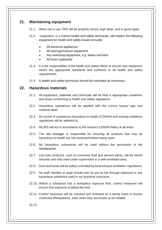# <span id="page-15-0"></span>**21. Maintaining equipment**

- 21.1. When not in use, PPE will be properly stored, kept clean, and in good repair.
- 21.2. Inspectors, or a trained health and safety technician, will inspect the following equipment for health and safety issues annually:
	- All electrical appliances
	- All fixed gymnasium equipment
	- Any workshop equipment, e.g. lathes and kilns
	- All fume cupboards
- 21.3. It is the responsibility of the health and safety officer to ensure new equipment meets the appropriate standards and conforms to all health and safety requirements.
- 21.4. A health and safety technician should be consulted as necessary.

## <span id="page-15-1"></span>**22. Hazardous materials**

- 22.1. All equipment, materials and chemicals will be held in appropriate containers and areas conforming to health and safety regulations.
- 22.2. Hazardous substances will be labelled with the correct hazard sign and contents label.
- 22.3. All control of substances hazardous to health (COSHH) and ionising radiations regulations will be adhered to.
- 22.4. NCJPS will act in accordance to the school's COSHH Policy at all times.
- 22.5. The site manager is responsible for ensuring all products that may be hazardous to health are risk assessed before being used.
- 22.6. No hazardous substances will be used without the permission of the Headteacher
- 22.7. Low toxic products, such as corrective fluid and aerosol paints, will be stored securely and only used under supervision in a well-ventilated area.
- 22.8. Dust and fumes will be safely controlled by local exhaust ventilation regulations.
- 22.9. No staff member or pupil should ever be put at risk through exposure to any hazardous substance used in our practical curriculum.
- 22.10. Where a substance has a workplace exposure limit, control measures will ensure that exposure is below the limit.
- 22.11. Control measures will be checked and reviewed on a termly basis to ensure continued effectiveness, even when they are known to be reliable.

22.12.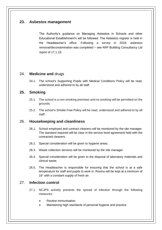# <span id="page-16-0"></span>**23. Asbestos management**

The Authority's guidance on Managing Asbestos in Schools and other Educational Establishment's will be followed. The Asbestos register is held in the Headteacher's office. Following a survey in 2018, asbestos removal/decontamination was completed – see ARP Building Consultancy Ltd report of 17.1.19.

# <span id="page-16-1"></span>24. **Medicine and** drugs

24.1. The school's Supporting Pupils with Medical Conditions Policy will be read, understood and adhered to by all staff.

# <span id="page-16-2"></span>**25. Smoking**

- 25.1. The school is a non-smoking premises and no smoking will be permitted on the grounds.
- 25.2. The school's Smoke Free Policy will be read, understood and adhered to by all staff.

# <span id="page-16-3"></span>26. **Housekeeping and cleanliness**

- 26.1. School employed and contract cleaners will be monitored by the site manager. The standard required will be clear in the service level agreement held with the contracted cleaners.
- 26.2. Special consideration will be given to hygiene areas.
- 26.3. Waste collection services will be monitored by the site manager.
- 26.4. Special consideration will be given to the disposal of laboratory materials and clinical waste.
- 26.5. The Headteacher is responsible for ensuring that the school is at a safe temperature for staff and pupils to work in. Rooms will be kept at a minimum of 16° with a constant supply of fresh air.

# <span id="page-16-4"></span>27. **Infection control**

- 27.1. NCJPS actively prevents the spread of infection through the following measures:
	- Routine immunisation
	- Maintaining high standards of personal hygiene and practice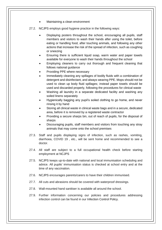- Maintaining a clean environment
- 27.2. NCJPS employs good hygiene practice in the following ways:
	- Displaying posters throughout the school, encouraging all pupils, staff members and visitors to wash their hands after using the toilet, before eating or handling food, after touching animals, and following any other actions that increase the risk of the spread of infection, such as coughing or sneezing
	- Ensuring there is sufficient liquid soap, warm water and paper towels available for everyone to wash their hands throughout the school
	- Employing cleaners to carry out thorough and frequent cleaning that follows national guidance
	- Providing PPE where necessary
	- Immediately cleaning any spillages of bodily fluids with a combination of detergent and disinfectant, and always wearing PPE. Mops should not be used to clean up body fluid spillages; instead paper towels should be used and discarded properly, following the procedures for clinical waste
	- Washing all laundry in a separate dedicated facility and washing any soiled linens separately
	- Hygienically bagging any pupil's soiled clothing to go home, and never rinsing it by hand
	- Storing all clinical waste in clinical waste bags and in a secure, dedicated area, before it is removed by a registered waste contractor
	- Providing a secure sharps bin, out of reach of pupils, for the disposal of sharps
	- Discouraging pupils, staff members and visitors from touching any stray animals that may come onto the school premises
- 27.3. Staff and pupils displaying signs of infection, such as rashes, vomiting, diarrhoea, COVID 19 , etc., will be sent home and recommended to see a doctor.
- 27.4. All staff are subject to a full occupational health check before starting employment at NCJPS
- 27.5. NCJPS keeps up-to-date with national and local immunisation scheduling and advice. All pupils' immunisation status is checked at school entry and at the time of any vaccination.
- 27.6. NCJPS encourages parents/carers to have their children immunised.
- 27.7. All cuts and abrasions should be covered with waterproof dressings.
- 27.8. Wall-mounted hand sanitiser is available all around the school.
- 27.9. Further information concerning our policies and procedures addressing infection control can be found in our Infection Control Policy.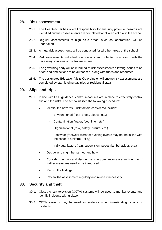## <span id="page-18-0"></span>**28. Risk assessment**

- 28.1. The Headteacher has overall responsibility for ensuring potential hazards are identified and risk assessments are completed for all areas of risk in the school.
- 28.2. Regular assessments of high risks areas, such as laboratories, will be undertaken.
- 28.3. Annual risk assessments will be conducted for all other areas of the school.
- 28.4. Risk assessments will identify all defects and potential risks along with the necessary solutions or control measures.
- 28.5. The governing body will be informed of risk assessments allowing issues to be prioritised and actions to be authorised, along with funds and resources.
- 28.6. The designated Education Visits Co-ordinator will ensure risk assessments are completed by staff leading day trips or residential stays.

## <span id="page-18-1"></span>**29. Slips and trips**

- 29.1. In line with HSE guidance, control measures are in place to effectively control slip and trip risks. The school utilises the following procedure:
	- Identify the hazards risk factors considered include:
		- Environmental (floor, steps, slopes, etc.)
		- Contamination (water, food, litter, etc.)
		- Organisational (task, safety, culture, etc.)
		- Footwear (footwear worn for evening events may not be in line with the school's Uniform Policy)
		- Individual factors (rain, supervision, pedestrian behaviour, etc.)
	- Decide who might be harmed and how
	- Consider the risks and decide if existing precautions are sufficient, or if further measures need to be introduced
	- Record the findings
	- Review the assessment regularly and revise if necessary

## <span id="page-18-2"></span>**30. Security and theft**

- 30.1. Closed circuit television (CCTV) systems will be used to monitor events and identify incidents taking place.
- 30.2. CCTV systems may be used as evidence when investigating reports of incidents.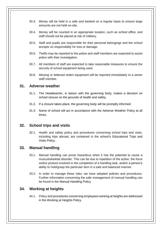- 30.3. Money will be held in a safe and banked on a regular basis to ensure large amounts are not held on-site.
- 30.4. Money will be counted in an appropriate location, such as *school office,* and staff should not be placed at risk of robbery.
- 30.5. Staff and pupils are responsible for their personal belongings and the school accepts no responsibility for loss or damage.
- 30.6. Thefts may be reported to the police and staff members are expected to assist police with their investigation.
- 30.7. All members of staff are expected to take reasonable measures to ensure the security of school equipment being used.
- 30.8. Missing or believed stolen equipment will be reported immediately to a senior staff member.

## <span id="page-19-0"></span>**31. Adverse weather**

- 31.1. The Headteacher, in liaison with the governing body, makes a decision on school closure on the grounds of health and safety.
- 31.2. If a closure takes place, the governing body will be promptly informed.
- 31.3. Name of school will act in accordance with the Adverse Weather Policy at all times.

# <span id="page-19-2"></span><span id="page-19-1"></span>**32. School trips and visits**

32.1. Health and safety policy and procedures concerning school trips and visits, including trips abroad, are contained in the school's Educational Trips and Visits Policy.

# <span id="page-19-3"></span>**33. Manual handling**

- 33.1. Manual handling can prove hazardous when it has the potential to cause a musculoskeletal disorder. This can be due to repetition of the action, the force and/or posture involved in the completion of a handling task, and/or a person's ability to hold/grasp the particular item in a safe and balanced manner.
- 33.2. In order to manage these risks, we have adopted policies and procedures. Further information concerning the safe management of manual handling can be found in the Manual Handling Policy.

# <span id="page-19-4"></span>**34. Working at heights**

34.1. Policy and procedures concerning employees working at heights are addressed in the Working at Heights Policy.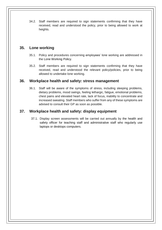34.2. Staff members are required to sign statements confirming that they have received, read and understood the policy, prior to being allowed to work at heights.

# <span id="page-20-0"></span>**35. Lone working**

- 35.1. Policy and procedures concerning employees' lone working are addressed in the Lone Working Policy.
- 35.2. Staff members are required to sign statements confirming that they have received, read and understood the relevant policy/policies, prior to being allowed to undertake lone working.

# <span id="page-20-1"></span>**36. Workplace health and safety: stress management**

36.1. Staff will be aware of the symptoms of stress, including sleeping problems, dietary problems, mood swings, feeling lethargic, fatigue, emotional problems, chest pains and elevated heart rate, lack of focus, inability to concentrate and increased sweating. Staff members who suffer from any of these symptoms are advised to consult their GP as soon as possible.

# <span id="page-20-2"></span>**37. Workplace health and safety: display equipment**

37.1. Display screen assessments will be carried out annually by the health and safety officer for teaching staff and administrative staff who regularly use laptops or desktops computers.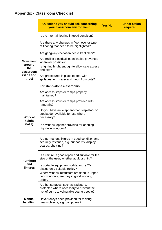# **Appendix - Classroom Checklist**

|                                                                       | <b>Questions you should ask concerning</b><br>your classroom environment:                                                     | Yes/No: | <b>Further action</b><br>required: |
|-----------------------------------------------------------------------|-------------------------------------------------------------------------------------------------------------------------------|---------|------------------------------------|
|                                                                       | Is the internal flooring in good condition?                                                                                   |         |                                    |
|                                                                       | Are there any changes in floor level or type<br>of flooring that need to be highlighted?                                      |         |                                    |
|                                                                       | Are gangways between desks kept clear?                                                                                        |         |                                    |
| <b>Movement</b><br>around<br>the<br>classroom<br>(slips and<br>trips) | Are trailing electrical leads/cables prevented<br>wherever possible?                                                          |         |                                    |
|                                                                       | Is lighting bright enough to allow safe access<br>and exit?                                                                   |         |                                    |
|                                                                       | Are procedures in place to deal with<br>spillages, e.g. water and blood from cuts?                                            |         |                                    |
|                                                                       | For stand-alone classrooms:                                                                                                   |         |                                    |
|                                                                       | Are access steps or ramps properly<br>maintained?                                                                             |         |                                    |
|                                                                       | Are access stairs or ramps provided with<br>handrails?                                                                        |         |                                    |
| Work at<br>height<br>(falls)                                          | Do you have an 'elephant-foot' step-stool or<br>stepladder available for use where<br>necessary?                              |         |                                    |
|                                                                       | Is a window-opener provided for opening<br>high-level windows?                                                                |         |                                    |
| <b>Furniture</b><br>and<br>fixtures                                   | Are permanent fixtures in good condition and<br>securely fastened, e.g. cupboards, display<br>boards, shelving?               |         |                                    |
|                                                                       | Is furniture in good repair and suitable for the<br>size of the user, whether adult or child?                                 |         |                                    |
|                                                                       | Is portable equipment stable, e.g. a TV<br>placed on a suitable trolley?                                                      |         |                                    |
|                                                                       | Where window restrictors are fitted to upper-<br>floor windows, are they in good working<br>order?                            |         |                                    |
|                                                                       | Are hot surfaces, such as radiators,<br>protected where necessary to prevent the<br>risk of burns to vulnerable young people? |         |                                    |
| <b>Manual</b><br>handling                                             | Have trolleys been provided for moving<br>heavy objects, e.g. computers?                                                      |         |                                    |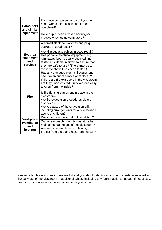| <b>Computers</b><br>and similar<br>equipment      | If you use computers as part of your job,<br>has a workstation assessment been<br>completed?                                                                                                                                                                                                         |  |
|---------------------------------------------------|------------------------------------------------------------------------------------------------------------------------------------------------------------------------------------------------------------------------------------------------------------------------------------------------------|--|
|                                                   | Have pupils been advised about good<br>practice when using computers?                                                                                                                                                                                                                                |  |
| <b>Electrical</b><br>equipment<br>and<br>services | Are fixed electrical switches and plug<br>sockets in good repair?                                                                                                                                                                                                                                    |  |
|                                                   | Are all plugs and cables in good repair?<br>Has portable electrical equipment, e.g.<br>laminators, been visually checked and<br>tested at suitable intervals to ensure that<br>they are safe to use? (There may be a<br>sticker to show it has been tested.)<br>Has any damaged electrical equipment |  |
| <b>Fire</b>                                       | been taken out of service or replaced?<br>If there are fire exit doors in the classroom,<br>are they unobstructed, unlocked and easy<br>to open from the inside?<br>Is fire-fighting equipment in place in the                                                                                       |  |
|                                                   | classroom?<br>Are fire evacuation procedures clearly<br>displayed?<br>Are you aware of the evacuation drill,<br>including arrangements for any vulnerable<br>adults or children?                                                                                                                     |  |
| Workplace<br>(ventilation<br>and<br>heating)      | Does the room have natural ventilation?<br>Can a reasonable room temperature be<br>maintained during use of the classroom?<br>Are measures in place, e.g. blinds, to<br>protect from glare and heat from the sun?                                                                                    |  |

Please note, this is not an exhaustive list and you should identify any other hazards associated with the daily use of the classroom in additional tables, including any further actions needed. If necessary, discuss your concerns with a senior leader in your school.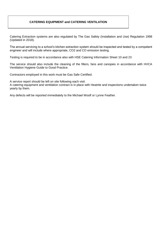## **CATERING EQUIPMENT and CATERING VENTILATION**

Catering Extraction systems are also regulated by The Gas Safety (Installation and Use) Regulation 1998 (Updated in 2018).

The annual servicing to a school's kitchen extraction system should be inspected and tested by a competent engineer and will include where appropriate, CO2 and CO emission testing.

Testing is required to be in accordance also with HSE Catering Information Sheet 10 and 23

The service should also include the cleaning of the filters, fans and canopies in accordance with HVCA Ventilation Hygiene Guide to Good Practice.

Contractors employed in this work must be Gas Safe Certified.

A service report should be left on site following each visit.

A catering equipment and ventilation contract is in place with Heatrite and inspections undertaken twice yearly by them.

Any defects will be reported immediately to the Michael Woolf or Lynne Feather.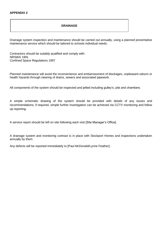#### **DRAINAGE**

Drainage system inspection and maintenance should be carried out annually, using a planned preventative maintenance service which should be tailored to schools individual needs.

Contractors should be suitably qualified and comply with: NRSWA 1991 Confined Space Regulations 1997

Planned maintenance will avoid the inconvenience and embarrassment of blockages, unpleasant odours or health hazards through clearing of drains, sewers and associated pipework.

All components of the system should be inspected and jetted including gulley's, pits and chambers.

A simple schematic drawing of the system should be provided with details of any issues and recommendations, if required, simple further investigation can be achieved via CCTV monitoring and follow up reporting.

A service report should be left on site following each visit [Site Manager's Office].

A drainage system and monitoring contract is in place with Stockport Homes and inspections undertaken annually by them.

Any defects will be reported immediately to [Paul McDonald/Lynne Feather].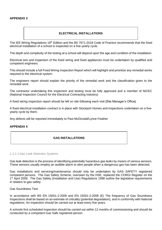## **ELECTRICAL INSTALLATIONS**

The IEE Wiring Regulations 18<sup>th</sup> Edition and the BS 7671-2018 Code of Practice recommends that the fixed electrical installation of a school is inspected on a five-yearly cycle.

The depth and complexity of the testing at a school will depend upon the age and condition of the installation.

Electrical test and inspection of the fixed wiring and fixed appliances must be undertaken by qualified and competent engineers.

This should include a full Fixed Wiring Inspection Report which will highlight and prioritise any remedial works required to the electrical system.

The engineers report should explain the priority of the remedial work and the classification given to the remedial work.

The contractor undertaking this inspection and testing must be fully approved and a member of NICEC (National Inspection Council for the Electrical Contracting Industry).

A fixed wiring inspection report should be left on site following each visit [Site Manager's Office].

A fixed electrical installation contract is in place with Stockport Homes and inspections undertaken on a fiveyearly cycle by them.

Any defects will be reported immediately to Paul McDonald/Lynne Feather

## **APPENDIX 4**

## **GAS INSTALLATIONS**

#### *1.1.1.1 Gas Leak Detection Systems*

Gas leak detection is the process of identifying potentially hazardous gas leaks by means of various sensors. These sensors usually employ an audible alarm to alert people when a dangerous gas has been detected.

Gas installations and servicing/maintenance should only be undertaken by GAS SAFETY registered competent persons. The Gas Safety Scheme, overseen by the HSE, replaced the CORGI Register on the 1<sup>st</sup> April 2009. The Gas Safety (Installation and Use) Regulations 1998 outline the legislative requirements in relation to gas safety.

#### Gas Soundness Test

In accordance with BS EN 15001-2:2009 and EN 15001-2:2008 (E) The frequency of Gas Soundness Inspections shall be based on an estimate of criticality (potential degradation), and in conformity with National regulations. An inspection should be carried out at least every five years.

A schools first scheduled inspection should be carried out within 12 months of commissioning and should be conducted by a competent Gas Safe registered person.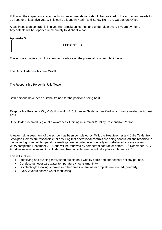Following the inspection a report including recommendations should be provided to the school and needs to be kept for at least five years. This can be found in Health and Safety file in the Caretakers Office

A gas inspection contract is in place with Stockport Homes and undertaken every 5 years by them. Any defects will be reported immediately to Michael Woolf

## **Appendix 5**

## **LEGIONELLA**

The school complies with Local Authority advice on the potential risks from legionella.

The Duty Holder is– Michael Woolf

The Responsible Person is Julie Teale

Both persons have been suitably trained for the positions being held.

Responsible Person is City & Guilds – Hot & Cold water Systems qualified which was awarded in August 2012.

Duty Holder received Legionella Awareness Training in summer 2013 by Responsible Person

A water risk assessment of the school has been completed by IWS, the Headteacher and Julie Teale, from Stockport Homes are responsible for ensuring that operational controls are being conducted and recorded in the water log book. All temperature readings are recorded electronically on web-based access system. WRA completed December 2015 and will be renewed by competent contractor before 11<sup>th</sup> December 2017. A further review between Duty Holder and Responsible Person will take place in January 2018.

This will include:

- Identifying and flushing rarely used outlets on a weekly basis and after school holiday periods.
- Conducting necessary water temperature checks (monthly).
- Disinfecting/descaling showers or other areas where water droplets are formed (quarterly).
- Every 2 years assess water monitoring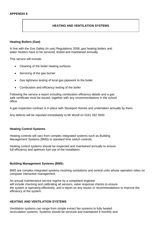## **HEATING AND VENTILATION SYSTEMS**

#### **Heating Boilers (Gas)**

In line with the Gas Safety (in use) Regulations 2008, gas heating boilers and water heaters have to be serviced, tested and maintained annually.

This service will include:

- Cleaning of the boiler heating surfaces
- Servicing of the gas burner
- Gas tightness testing of local gas pipework to the boiler
- Combustion and efficiency testing of the boiler

Following the service a report including combustion efficiency details and a gas safe certificate must be issued, together with any recommendations in the school office.

A gas inspection contract is in place with Stockport Homes and undertaken annually by them.

Any defects will be reported immediately to Mr Woolf on 0161 282 4500

#### **Heating Control Systems**

Heating controls will vary from complex integrated systems such as Building Management Systems (BMS) to standard time switch controls.

Heating control systems should be inspected and maintained annually to ensure full efficiency and optimum fuel use of the installation.

#### **Building Management Systems (BMS**)

BMS are complex integrated systems involving outstations and central units whose operation relies on computer interactive management.

An annual maintenance service regime by a competent engineer will include checking and calibrating all sensors, valve response checks to ensure the system is operating effectively, and a report on any issues or recommendations to improve the efficiency of the system.

#### **HEATING AND VENTILATION SYSTEMS**

Ventilation systems can range from simple extract fan systems to fully heated recirculation systems. Systems should be serviced and maintained 6 monthly and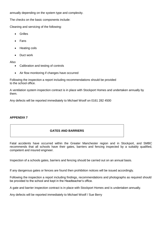annually depending on the system type and complexity.

The checks on the basic components include:

Cleaning and servicing of the following:

- Grilles
- Fans
- Heating coils
- Duct work

Also

- Calibration and testing of controls
- Air flow monitoring if changes have occurred

Following the inspection a report including recommendations should be provided to the school office.

A ventilation system inspection contract is in place with Stockport Homes and undertaken annually by them.

Any defects will be reported immediately to Michael Woolf on 0161 282 4500

## **APPENDIX 7**

## **GATES AND BARRIERS**

Fatal accidents have occurred within the Greater Manchester region and in Stockport, and SMBC recommends that all schools have their gates, barriers and fencing inspected by a suitably qualified, competent and insured engineer.

Inspection of a schools gates, barriers and fencing should be carried out on an annual basis.

If any dangerous gates or fences are found then prohibition notices will be issued accordingly.

Following the inspection a report including findings, recommendations and photographs as required should be provided to the school and kept in the Headteacher's office.

A gate and barrier inspection contract is in place with Stockport Homes and is undertaken annually.

Any defects will be reported immediately to Michael Woolf / Sue Berry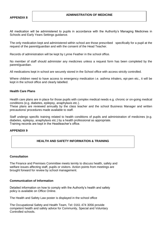All medication will be administered to pupils in accordance with the Authority's Managing Medicines in Schools and Early Years Settings guidance.

The only medication kept and administered within school are those prescribed specifically for a pupil at the request of the parent/guardian and with the consent of the Head Teacher.

Records of administration will be kept by Lynne Feather in the school office.

No member of staff should administer any medicines unless a request form has been completed by the parent/guardian.

All medications kept in school are securely stored in the School office with access strictly controlled.

Where children need to have access to emergency medication i.e. asthma inhalers, epi-pen etc., it will be kept in the school office and clearly labelled.

## **Health Care Plans**

Health care plans are in place for those pupils with complex medical needs e.g. chronic or on-going medical conditions (e.g. diabetes, epilepsy, anaphylaxis etc.).

These plans are reviewed annually by the class teacher and the school Business Manager and written precautions/ procedures made available to staff.

Staff undergo specific training related to health conditions of pupils and administration of medicines (e.g. diabetes, epilepsy, anaphylaxis etc.) by a health professional as appropriate. Training records are kept in the Headteacher's office.

## **APPENDIX 9**

## **HEALTH AND SAFETY INFORMATION & TRAINING**

#### **Consultation**

The Finance and Premises Committee meets termly to discuss health, safety and welfare issues affecting staff, pupils or visitors. Action points from meetings are brought forward for review by school management.

#### **Communication of Information**

Detailed information on how to comply with the Authority's health and safety policy is available on Office Online.

The Health and Safety Law poster is displayed in the school office

The Occupational Safety and Health Team, Tel: 0161 474 3056 provide competent health and safety advice for Community, Special and Voluntary Controlled schools.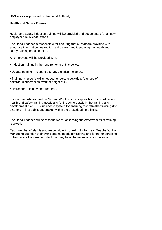H&S advice is provided by the Local Authority

## **Health and Safety Training**

Health and safety induction training will be provided and documented for all new employees by Michael Woolf

The Head Teacher is responsible for ensuring that all staff are provided with adequate information, instruction and training and identifying the health and safety training needs of staff.

All employees will be provided with:

- Induction training in the requirements of this policy;
- Update training in response to any significant change;
- Training in specific skills needed for certain activities, (e.g. use of hazardous substances, work at height etc.);
- Refresher training where required.

.

Training records are held by Michael Woolf who is responsible for co-ordinating health and safety training needs and for including details in the training and development plan. This includes a system for ensuring that refresher training (for example in first aid) is undertaken within the prescribed time limits.

The Head Teacher will be responsible for assessing the effectiveness of training received.

Each member of staff is also responsible for drawing to the Head Teacher's/Line Manager's attention their own personal needs for training and for not undertaking duties unless they are confident that they have the necessary competence.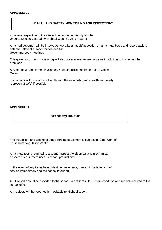## **APPENDIX 10**

## **HEALTH AND SAFETY MONITORING AND INSPECTIONS**

A general inspection of the site will be conducted termly and be Undertaken/coordinated by Michael Woolf / Lynne Feather

. A named governor, will be involved/undertake an audit/inspection on an annual basis and report back to both the relevant sub-committee and full Governing body meetings.

This governor through monitoring will also cover management systems in addition to inspecting the premises.

Advice and a sample health & safety audit checklist can be found on Office Online.

Inspections will be conducted jointly with the establishment's health and safety representative(s) if possible.

#### **APPENDIX 11**

## **STAGE EQUIPMENT**

The inspection and testing of stage lighting equipment is subject to 'Safe Work of Equipment Regulations1998'.

An annual test is required to test and inspect the electrical and mechanical aspects of equipment used in school productions.

In the event of any items being identified as unsafe, these will be taken out of service immediately and the school informed.

A full report should be provided to the school with test results, system condition and repairs required to the school office.

Any defects will be reported immediately to Michael Woolf.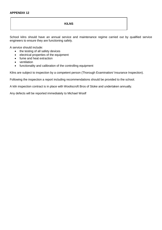## **KILNS**

School kilns should have an annual service and maintenance regime carried out by qualified service engineers to ensure they are functioning safely.

A service should include:

- the testing of all safety devices
- electrical properties of the equipment
- fume and heat extraction
- ventilation
- functionality and calibration of the controlling equipment

Kilns are subject to inspection by a competent person (Thorough Examination/ Insurance Inspection).

Following the inspection a report including recommendations should be provided to the school.

A kiln inspection contract is in place with Wooliscroft Bros of Stoke and undertaken annually.

Any defects will be reported immediately to Michael Woolf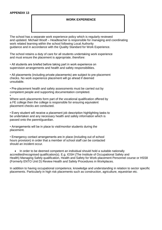## **WORK EXPERIENCE**

The school has a separate work experience policy which is regularly reviewed and updated. Michael Woolf – Headteacher is responsible for managing and coordinating work related learning within the school following Local Authority guidance and in accordance with the Quality Standard for Work Experience.

The school retains a duty of care for all students undertaking work experience and must ensure the placement is appropriate, therefore:

• All students are briefed before taking part in work experience on supervision arrangements and health and safety responsibilities.

• All placements (including private placements) are subject to pre-placement checks. No work experience placement will go ahead if deemed unsuitable.

• Pre-placement health and safety assessments must be carried out by competent people and supporting documentation completed. •

Where work placements form part of the vocational qualification offered by a FE college then the college is responsible for ensuring equivalent placement checks are conducted.

• Every student will receive a placement job description highlighting tasks to be undertaken and any necessary health and safety information which is passed onto the parent/guardian.

• Arrangements will be in place to visit/monitor students during the placement.

• Emergency contact arrangements are in place (including out of school hours provision) in order that a member of school staff can be contacted should an incident occur.

• In order to be deemed competent an individual should hold a suitable nationally accredited/recognised qualification(s). E.g. IOSH (The Institute of Occupational Safety and Health) Managing Safely qualification, Health and Safety for Work-placement Personnel course or HSS8 (Formerly ENTO Unit D) Review Health and Safety Procedures in Workplaces.

In addition to having occupational competence, knowledge and understanding in relation to sector specific placements. Particularly in high risk placements such as construction, agriculture, equestrian etc.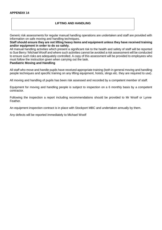## **APPENDIX 14**

## **LIFTING AND HANDLING**

Generic risk assessments for regular manual handling operations are undertaken and staff are provided with information on safe moving and handling techniques.

**Staff should ensure they are not lifting heavy items and equipment unless they have received training and/or equipment in order to do so safely.**

All manual handling activities which present a significant risk to the health and safety of staff will be reported to Sue Berry / Michael Woolf and where such activities cannot be avoided a risk assessment will be conducted to ensure such risks are adequately controlled. A copy of this assessment will be provided to employees who must follow the instruction given when carrying out the task.

#### **Paediatric Moving and Handling**

All staff who move and handle pupils have received appropriate training (both in general moving and handling people techniques and specific training on any lifting equipment, hoists, slings etc. they are required to use).

All moving and handling of pupils has been risk assessed and recorded by a competent member of staff.

Equipment for moving and handling people is subject to inspection on a 6 monthly basis by a competent contractor.

Following the inspection a report including recommendations should be provided to Mr Woolf or Lynne Feather.

An equipment inspection contract is in place with Stockport MBC and undertaken annually by them.

Any defects will be reported immediately to Michael Woolf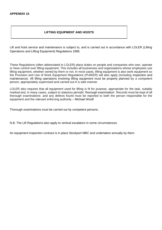## **LIFTING EQUIPMENT AND HOISTS**

Lift and hoist service and maintenance is subject to, and is carried out in accordance with LOLER (Lifting Operations and Lifting Equipment) Regulations 1998.

These Regulations (often abbreviated to LOLER) place duties on people and companies who own, operate or have control over lifting equipment. This includes all businesses and organisations whose employees use lifting equipment, whether owned by them or not. In most cases, lifting equipment is also work equipment so the Provision and Use of Work Equipment Regulations (PUWER) will also apply (including [inspection](http://www.hse.gov.uk/work-equipment-machinery/inspection.htm) and [maintenance\)](http://www.hse.gov.uk/work-equipment-machinery/maintenance.htm). All lifting operations involving lifting equipment must be properly planned by a competent person, appropriately supervised and carried out in a safe manner.

LOLER also requires that all equipment used for lifting is fit for purpose, appropriate for the task, suitably marked and, in many cases, subject to statutory periodic ['thorough examination'](http://www.hse.gov.uk/work-equipment-machinery/thorough-examinations-lifting-equipment.htm). Records must be kept of all thorough examinations .and any defects found must be reported to both the person responsible for the equipment and the relevant enforcing authority – Michael Woolf

Thorough examinations must be carried out by competent persons.

N.B. The Lift Regulations also apply to vertical escalators in some circumstances.

An equipment inspection contract is in place Stockport MBC and undertaken annually by them.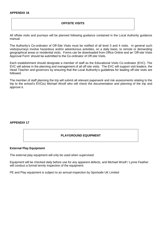## **APPENDIX 16**

#### **OFFSITE VISITS**

All offsite visits and journeys will be planned following guidance contained in the Local Authority guidance manual.

The Authority's Co-ordinator of Off-Site Visits must be notified of all level 3 and 4 visits. In general such visits/journeys involve hazardous and/or adventurous activities, on a daily basis, to remote or demanding geographical areas or residential visits. Forms can be downloaded from Office Online and an 'Off-site Visits Approval Form' should be submitted to the Co-ordinator of Off-site Visits.

Each establishment should designate a member of staff as the Educational Visits Co-ordinator (EVC). The EVC will advise in the planning and management of all off-site visits. The EVC will support visit leaders, the Head Teacher and governors by ensuring that the Local Authority's guidelines for leading off-site visits are followed.

The member of staff planning the trip will submit all relevant paperwork and risk assessments relating to the trip to the school's EVC(s) Michael Woolf who will check the documentation and planning of the trip and approve it.

#### **APPENDIX 17**

## **PLAYGROUND EQUIPMENT**

#### **External Play Equipment**

The external play equipment will only be used when supervised.

Equipment will be checked daily before use for any apparent defects, and Michael Woolf / Lynne Feather will conduct a formal termly inspection of the equipment.

PE and Play equipment is subject to an annual inspection by Sportsafe UK Limited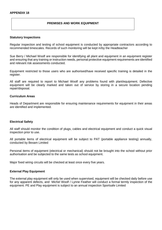## **PREMISES AND WORK EQUIPMENT**

#### **Statutory Inspections**

Regular inspection and testing of school equipment is conducted by appropriate contractors according to recommended timescales. Records of such monitoring will be kept in/by the Headteacher

Sue Berry / Michael Woolf are responsible for identifying all plant and equipment in an equipment register and ensuring that any training or instruction needs, personal protective equipment requirements are identified and relevant risk assessments conducted.

Equipment restricted to those users who are authorised/have received specific training is detailed in the register.

All staff are required to report to Michael Woolf any problems found with plant/equipment. Defective equipment will be clearly marked and taken out of service by storing in a secure location pending repair/disposal.

#### **Curriculum Areas**

Heads of Department are responsible for ensuring maintenance requirements for equipment in their areas are identified and implemented.

## **Electrical Safety**

All staff should monitor the condition of plugs, cables and electrical equipment and conduct a quick visual inspection prior to use.

All portable items of electrical equipment will be subject to PAT (portable appliance testing) annually, conducted by Bexam Limited

Personal items of equipment (electrical or mechanical) should not be brought into the school without prior authorisation and be subjected to the same tests as school equipment.

Major fixed wiring circuits will be checked at least once every five years.

#### **External Play Equipment**

The external play equipment will only be used when supervised, equipment will be checked daily before use for any apparent defects, and Michel Woolf / Lynne Feather will conduct a formal termly inspection of the equipment. PE and Play equipment is subject to an annual inspection Sportsafe Limited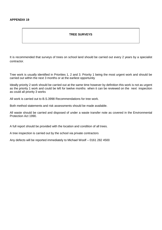## **APPENDIX 19**

## **TREE SURVEYS**

It is recommended that surveys of trees on school land should be carried out every 2 years by a specialist contractor.

Tree work is usually identified in Priorities 1, 2 and 3. Priority 1 being the most urgent work and should be carried out within the next 3 months or at the earliest opportunity

Ideally priority 2 work should be carried out at the same time however by definition this work is not as urgent as the priority 1 work and could be left for twelve months when it can be reviewed on the next inspection as could all priority 3 works

All work is carried out to B.S.3998 Recommendations for tree work.

Both method statements and risk assessments should be made available.

All waste should be carried and disposed of under a waste transfer note as covered in the Environmental Protection Act 1990.

A full report should be provided with the location and condition of all trees.

A tree inspection is carried out by the school via private contractors

Any defects will be reported immediately to Michael Woolf – 0161 282 4500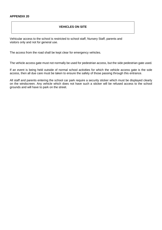## **VEHICLES ON SITE**

Vehicular access to the school is restricted to school staff, Nursery Staff, parents and visitors only and not for general use.

The access from the road shall be kept clear for emergency vehicles.

The vehicle access gate must not normally be used for pedestrian access, but the side pedestrian gate used.

If an event is being held outside of normal school activities for which the vehicle access gate is the sole access, then all due care must be taken to ensure the safety of those passing through this entrance.

All staff and parents entering the school car park require a security sticker which must be displayed clearly on the windscreen. Any vehicle which does not have such a sticker will be refused access to the school grounds and will have to park on the street.